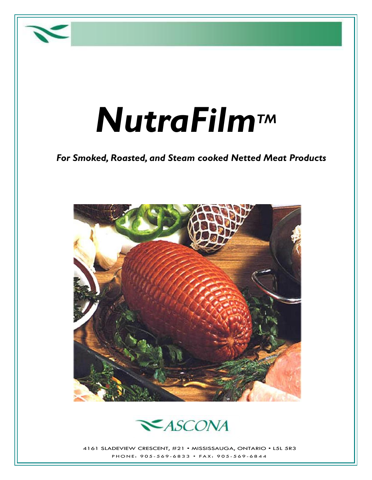

# *NutraFilmTM*

#### *For Smoked, Roasted, and Steam cooked Netted Meat Products*





4161 SLADEVIEW CRESCENT, #21 • MISSISSAUGA, ONTARIO • L5L 5R3 P H O N E: 905-569-6833 • FAX: 905-569-6844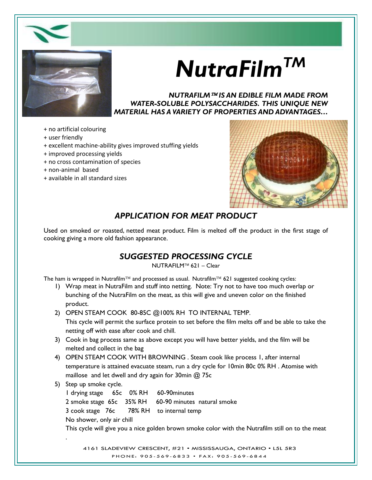



## *NutraFilmTM*

*NUTRAFILM IS AN EDIBLE FILM MADE FROM WATER-SOLUBLE POLYSACCHARIDES. THIS UNIQUE NEW MATERIAL HAS A VARIETY OF PROPERTIES AND ADVANTAGES…*

- + no artificial colouring
- + user friendly
- + excellent machine-ability gives improved stuffing yields
- + improved processing yields
- + no cross contamination of species
- + non-animal based
- + available in all standard sizes



#### *APPLICATION FOR MEAT PRODUCT*

Used on smoked or roasted, netted meat product. Film is melted off the product in the first stage of cooking giving a more old fashion appearance.

#### *SUGGESTED PROCESSING CYCLE*

NUTRAFILM™ 621 – Clear

The ham is wrapped in Nutrafilm<sup>™</sup> and processed as usual. Nutrafilm<sup>™</sup> 621 suggested cooking cycles:

- 1) Wrap meat in NutraFilm and stuff into netting. Note: Try not to have too much overlap or bunching of the NutraFilm on the meat, as this will give and uneven color on the finished product.
- 2) OPEN STEAM COOK 80-85C @100% RH TO INTERNAL TEMP.

This cycle will permit the surface protein to set before the film melts off and be able to take the netting off with ease after cook and chill.

- 3) Cook in bag process same as above except you will have better yields, and the film will be melted and collect in the bag
- 4) OPEN STEAM COOK WITH BROWNING . Steam cook like process 1, after internal temperature is attained evacuate steam, run a dry cycle for 10min 80c 0% RH . Atomise with maillose and let dwell and dry again for 30min @ 75c

5) Step up smoke cycle.

1 drying stage 65c 0% RH 60-90minutes 2 smoke stage 65c 35% RH 60-90 minutes natural smoke 3 cook stage 76c 78% RH to internal temp No shower, only air chill This cycle will give you a nice golden brown smoke color with the Nutrafilm still on to the meat .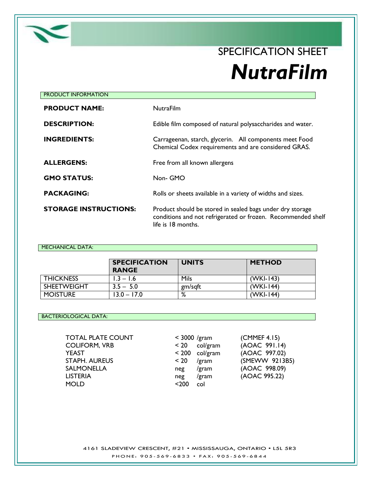

### SPECIFICATION SHEET *NutraFilm*

| <b>NutraFilm</b>                                                                                                                                |
|-------------------------------------------------------------------------------------------------------------------------------------------------|
| Edible film composed of natural polysaccharides and water.                                                                                      |
| Carrageenan, starch, glycerin. All components meet Food<br>Chemical Codex requirements and are considered GRAS.                                 |
| Free from all known allergens                                                                                                                   |
| Non- GMO                                                                                                                                        |
| Rolls or sheets available in a variety of widths and sizes.                                                                                     |
| Product should be stored in sealed bags under dry storage<br>conditions and not refrigerated or frozen. Recommended shelf<br>life is 18 months. |
|                                                                                                                                                 |

#### MECHANICAL DATA:

|                    | <b>SPECIFICATION</b><br><b>RANGE</b> | <b>UNITS</b>  | <b>METHOD</b> |
|--------------------|--------------------------------------|---------------|---------------|
| <b>THICKNESS</b>   | $1.3 - 1.6$                          | Mils          | $(WKI-143)$   |
| <b>SHEETWEIGHT</b> | $3.5 - 5.0$                          | gm/sqft       | $(WKI-144)$   |
| <b>MOISTURE</b>    | $13.0 - 17.0$                        | $\circ$<br>/٥ | (WKI-144)     |

#### BACTERIOLOGICAL DATA:

| $<$ 3000 /gr |      |
|--------------|------|
| < 20         | col  |
| $< 200$ col  |      |
| $~<$ 20 $~$  | /gra |
| $neg$ /gr    |      |
| neg          | /gr  |
| $200$        | col  |
|              |      |

| < 3000 /gram |          |
|--------------|----------|
| < 20         | col/gram |
| < 200        | col/gram |
| < 20         | /gram    |
| neg          | /gram    |
| neg          | /gram    |
| $200$        | col      |

 $(CMMEF 4.15)$  $(AOAC 991.14)$ (AOAC 997.02) (SMEWW 9213B5) (AOAC 998.09) (AOAC 995.22)